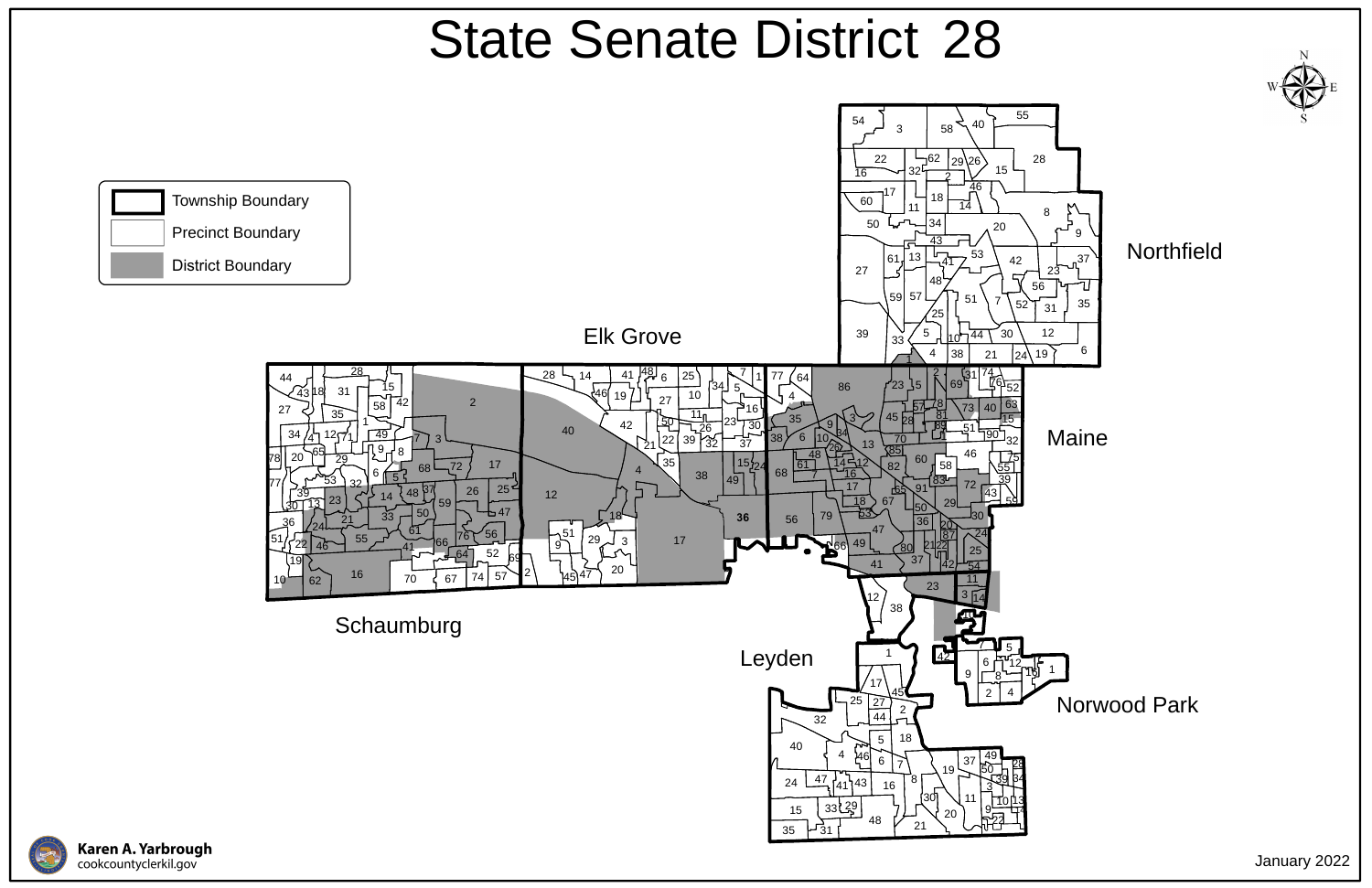## Norwood Park

**Northfield** 





## State Senate District 28

January 2022